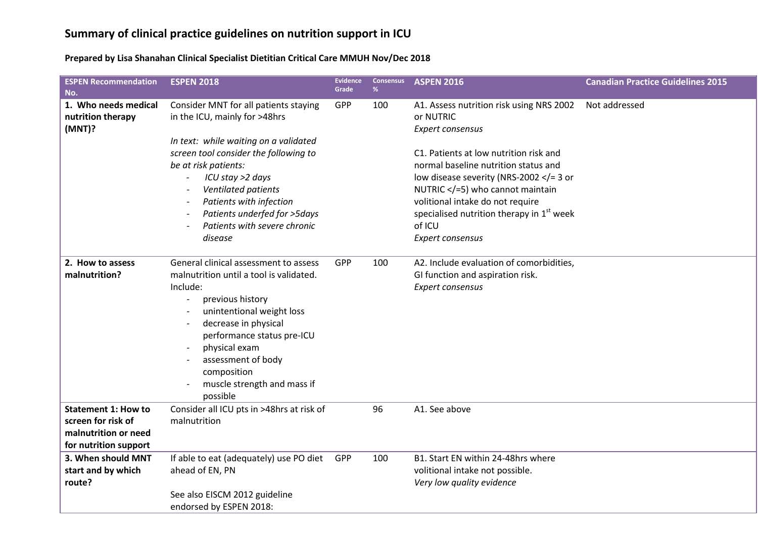## **Summary of clinical practice guidelines on nutrition support in ICU**

**Prepared by Lisa Shanahan Clinical Specialist Dietitian Critical Care MMUH Nov/Dec 2018**

| <b>ESPEN Recommendation</b><br>No.                                                                | <b>ESPEN 2018</b>                                                                                                                                                                                                                                                                                                                 | <b>Evidence</b><br>Grade | <b>Consensus</b><br>% | <b>ASPEN 2016</b>                                                                                                                                                                                                                                                                                                                                                               | <b>Canadian Practice Guidelines 2015</b> |
|---------------------------------------------------------------------------------------------------|-----------------------------------------------------------------------------------------------------------------------------------------------------------------------------------------------------------------------------------------------------------------------------------------------------------------------------------|--------------------------|-----------------------|---------------------------------------------------------------------------------------------------------------------------------------------------------------------------------------------------------------------------------------------------------------------------------------------------------------------------------------------------------------------------------|------------------------------------------|
| 1. Who needs medical<br>nutrition therapy<br>(MNT)?                                               | Consider MNT for all patients staying<br>in the ICU, mainly for >48hrs<br>In text: while waiting on a validated<br>screen tool consider the following to<br>be at risk patients:<br>ICU stay >2 days<br>Ventilated patients<br>Patients with infection<br>Patients underfed for >5days<br>Patients with severe chronic<br>disease | GPP                      | 100                   | A1. Assess nutrition risk using NRS 2002<br>or NUTRIC<br>Expert consensus<br>C1. Patients at low nutrition risk and<br>normal baseline nutrition status and<br>low disease severity (NRS-2002 $\lt$ /= 3 or<br>NUTRIC $\lt/=5$ ) who cannot maintain<br>volitional intake do not require<br>specialised nutrition therapy in 1 <sup>st</sup> week<br>of ICU<br>Expert consensus | Not addressed                            |
| 2. How to assess<br>malnutrition?                                                                 | General clinical assessment to assess<br>malnutrition until a tool is validated.<br>Include:<br>previous history<br>unintentional weight loss<br>decrease in physical<br>performance status pre-ICU<br>physical exam<br>assessment of body<br>composition<br>muscle strength and mass if<br>possible                              | GPP                      | 100                   | A2. Include evaluation of comorbidities,<br>GI function and aspiration risk.<br>Expert consensus                                                                                                                                                                                                                                                                                |                                          |
| <b>Statement 1: How to</b><br>screen for risk of<br>malnutrition or need<br>for nutrition support | Consider all ICU pts in >48hrs at risk of<br>malnutrition                                                                                                                                                                                                                                                                         |                          | 96                    | A1. See above                                                                                                                                                                                                                                                                                                                                                                   |                                          |
| 3. When should MNT<br>start and by which<br>route?                                                | If able to eat (adequately) use PO diet<br>ahead of EN, PN<br>See also EISCM 2012 guideline<br>endorsed by ESPEN 2018:                                                                                                                                                                                                            | GPP                      | 100                   | B1. Start EN within 24-48hrs where<br>volitional intake not possible.<br>Very low quality evidence                                                                                                                                                                                                                                                                              |                                          |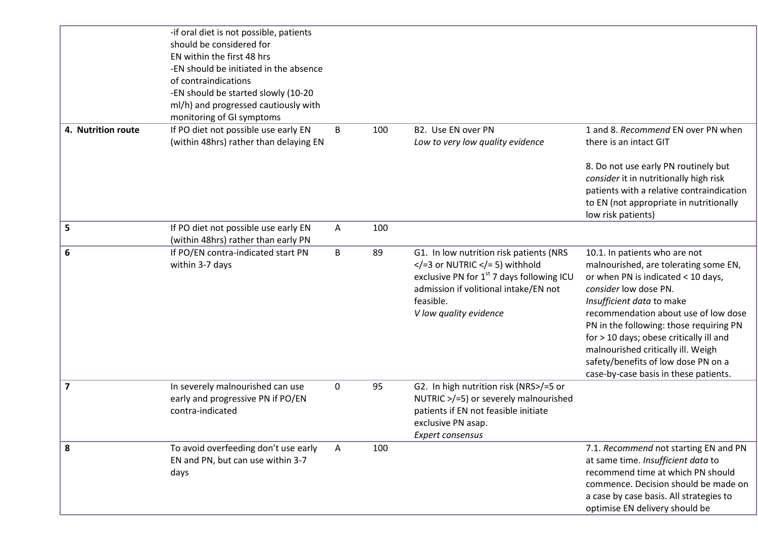|                         | -if oral diet is not possible, patients<br>should be considered for<br>EN within the first 48 hrs<br>-EN should be initiated in the absence |   |     |                                                                                                                                                                                                                           |                                                                                                                                                                                                                                                                                                                                                                                                                        |
|-------------------------|---------------------------------------------------------------------------------------------------------------------------------------------|---|-----|---------------------------------------------------------------------------------------------------------------------------------------------------------------------------------------------------------------------------|------------------------------------------------------------------------------------------------------------------------------------------------------------------------------------------------------------------------------------------------------------------------------------------------------------------------------------------------------------------------------------------------------------------------|
|                         | of contraindications<br>-EN should be started slowly (10-20<br>ml/h) and progressed cautiously with<br>monitoring of GI symptoms            |   |     |                                                                                                                                                                                                                           |                                                                                                                                                                                                                                                                                                                                                                                                                        |
| 4. Nutrition route      | If PO diet not possible use early EN<br>(within 48hrs) rather than delaying EN                                                              | В | 100 | B2. Use EN over PN<br>Low to very low quality evidence                                                                                                                                                                    | 1 and 8. Recommend EN over PN when<br>there is an intact GIT                                                                                                                                                                                                                                                                                                                                                           |
|                         |                                                                                                                                             |   |     |                                                                                                                                                                                                                           | 8. Do not use early PN routinely but<br>consider it in nutritionally high risk<br>patients with a relative contraindication<br>to EN (not appropriate in nutritionally<br>low risk patients)                                                                                                                                                                                                                           |
| 5                       | If PO diet not possible use early EN<br>(within 48hrs) rather than early PN                                                                 | A | 100 |                                                                                                                                                                                                                           |                                                                                                                                                                                                                                                                                                                                                                                                                        |
| 6                       | If PO/EN contra-indicated start PN<br>within 3-7 days                                                                                       | B | 89  | G1. In low nutrition risk patients (NRS<br>$\langle$ = 3 or NUTRIC $\langle$ = 5) withhold<br>exclusive PN for $1st$ 7 days following ICU<br>admission if volitional intake/EN not<br>feasible.<br>V low quality evidence | 10.1. In patients who are not<br>malnourished, are tolerating some EN,<br>or when PN is indicated < 10 days,<br>consider low dose PN.<br>Insufficient data to make<br>recommendation about use of low dose<br>PN in the following: those requiring PN<br>for > 10 days; obese critically ill and<br>malnourished critically ill. Weigh<br>safety/benefits of low dose PN on a<br>case-by-case basis in these patients. |
| $\overline{\mathbf{z}}$ | In severely malnourished can use<br>early and progressive PN if PO/EN<br>contra-indicated                                                   | 0 | 95  | G2. In high nutrition risk (NRS>/=5 or<br>NUTRIC >/=5) or severely malnourished<br>patients if EN not feasible initiate<br>exclusive PN asap.<br><b>Expert consensus</b>                                                  |                                                                                                                                                                                                                                                                                                                                                                                                                        |
| 8                       | To avoid overfeeding don't use early<br>EN and PN, but can use within 3-7<br>days                                                           | Α | 100 |                                                                                                                                                                                                                           | 7.1. Recommend not starting EN and PN<br>at same time. Insufficient data to<br>recommend time at which PN should<br>commence. Decision should be made on<br>a case by case basis. All strategies to<br>optimise EN delivery should be                                                                                                                                                                                  |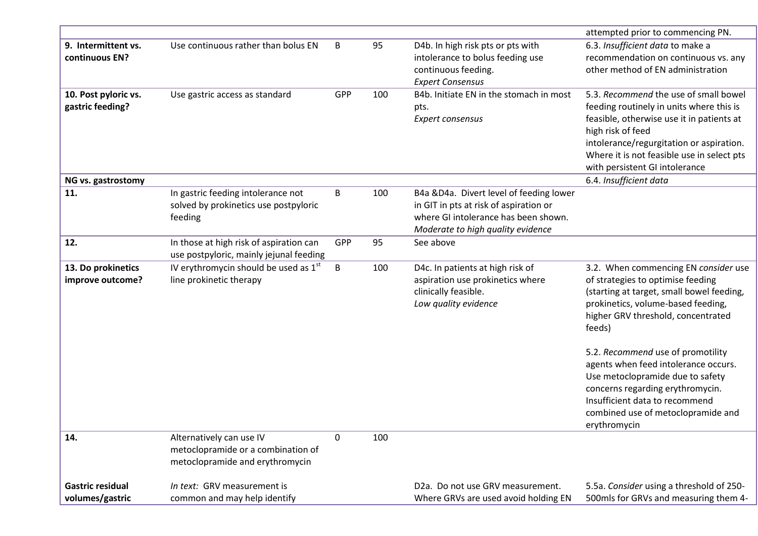|                                            |                                                                                                   |          |     |                                                                                                                                                                | attempted prior to commencing PN.                                                                                                                                                                                                                                               |
|--------------------------------------------|---------------------------------------------------------------------------------------------------|----------|-----|----------------------------------------------------------------------------------------------------------------------------------------------------------------|---------------------------------------------------------------------------------------------------------------------------------------------------------------------------------------------------------------------------------------------------------------------------------|
| 9. Intermittent vs.<br>continuous EN?      | Use continuous rather than bolus EN                                                               | B        | 95  | D4b. In high risk pts or pts with<br>intolerance to bolus feeding use<br>continuous feeding.<br><b>Expert Consensus</b>                                        | 6.3. Insufficient data to make a<br>recommendation on continuous vs. any<br>other method of EN administration                                                                                                                                                                   |
| 10. Post pyloric vs.<br>gastric feeding?   | Use gastric access as standard                                                                    | GPP      | 100 | B4b. Initiate EN in the stomach in most<br>pts.<br>Expert consensus                                                                                            | 5.3. Recommend the use of small bowel<br>feeding routinely in units where this is<br>feasible, otherwise use it in patients at<br>high risk of feed<br>intolerance/regurgitation or aspiration.<br>Where it is not feasible use in select pts<br>with persistent GI intolerance |
| NG vs. gastrostomy                         |                                                                                                   |          |     |                                                                                                                                                                | 6.4. Insufficient data                                                                                                                                                                                                                                                          |
| 11.                                        | In gastric feeding intolerance not<br>solved by prokinetics use postpyloric<br>feeding            | B        | 100 | B4a &D4a. Divert level of feeding lower<br>in GIT in pts at risk of aspiration or<br>where GI intolerance has been shown.<br>Moderate to high quality evidence |                                                                                                                                                                                                                                                                                 |
| 12.                                        | In those at high risk of aspiration can<br>use postpyloric, mainly jejunal feeding                | GPP      | 95  | See above                                                                                                                                                      |                                                                                                                                                                                                                                                                                 |
| 13. Do prokinetics<br>improve outcome?     | IV erythromycin should be used as $1st$<br>line prokinetic therapy                                | B        | 100 | D4c. In patients at high risk of<br>aspiration use prokinetics where<br>clinically feasible.<br>Low quality evidence                                           | 3.2. When commencing EN consider use<br>of strategies to optimise feeding<br>(starting at target, small bowel feeding,<br>prokinetics, volume-based feeding,<br>higher GRV threshold, concentrated<br>feeds)                                                                    |
|                                            |                                                                                                   |          |     |                                                                                                                                                                | 5.2. Recommend use of promotility<br>agents when feed intolerance occurs.<br>Use metoclopramide due to safety<br>concerns regarding erythromycin.<br>Insufficient data to recommend<br>combined use of metoclopramide and<br>erythromycin                                       |
| 14.                                        | Alternatively can use IV<br>metoclopramide or a combination of<br>metoclopramide and erythromycin | $\Omega$ | 100 |                                                                                                                                                                |                                                                                                                                                                                                                                                                                 |
| <b>Gastric residual</b><br>volumes/gastric | In text: GRV measurement is<br>common and may help identify                                       |          |     | D <sub>2</sub> a. Do not use GRV measurement.<br>Where GRVs are used avoid holding EN                                                                          | 5.5a. Consider using a threshold of 250-<br>500mls for GRVs and measuring them 4-                                                                                                                                                                                               |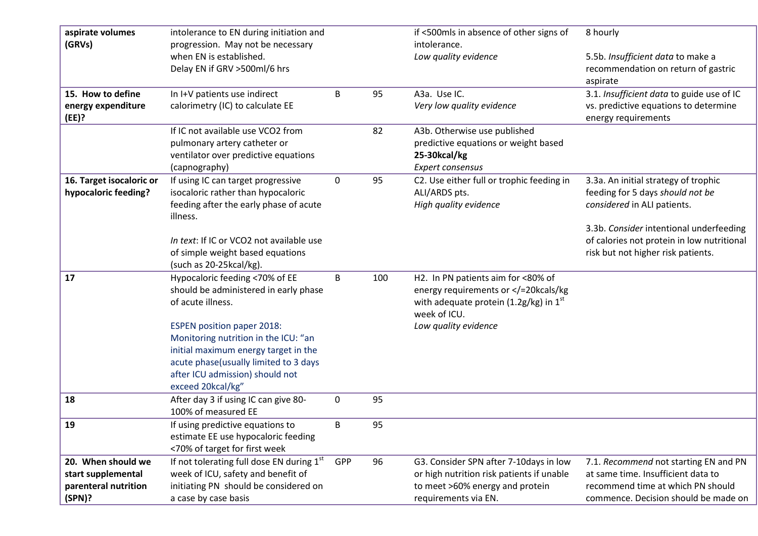| aspirate volumes<br>(GRVs)                                                 | intolerance to EN during initiation and                                                                                                                                                                            |             |     | if <500mls in absence of other signs of<br>intolerance.                                                                                        | 8 hourly                                                                                                                                                 |
|----------------------------------------------------------------------------|--------------------------------------------------------------------------------------------------------------------------------------------------------------------------------------------------------------------|-------------|-----|------------------------------------------------------------------------------------------------------------------------------------------------|----------------------------------------------------------------------------------------------------------------------------------------------------------|
|                                                                            | progression. May not be necessary<br>when EN is established.<br>Delay EN if GRV > 500ml/6 hrs                                                                                                                      |             |     | Low quality evidence                                                                                                                           | 5.5b. Insufficient data to make a<br>recommendation on return of gastric<br>aspirate                                                                     |
| 15. How to define<br>energy expenditure<br>(EE)?                           | In I+V patients use indirect<br>calorimetry (IC) to calculate EE                                                                                                                                                   | B           | 95  | A3a. Use IC.<br>Very low quality evidence                                                                                                      | 3.1. Insufficient data to guide use of IC<br>vs. predictive equations to determine<br>energy requirements                                                |
|                                                                            | If IC not available use VCO2 from<br>pulmonary artery catheter or<br>ventilator over predictive equations<br>(capnography)                                                                                         |             | 82  | A3b. Otherwise use published<br>predictive equations or weight based<br>25-30kcal/kg<br>Expert consensus                                       |                                                                                                                                                          |
| 16. Target isocaloric or<br>hypocaloric feeding?                           | If using IC can target progressive<br>isocaloric rather than hypocaloric<br>feeding after the early phase of acute<br>illness.                                                                                     | $\mathbf 0$ | 95  | C2. Use either full or trophic feeding in<br>ALI/ARDS pts.<br>High quality evidence                                                            | 3.3a. An initial strategy of trophic<br>feeding for 5 days should not be<br>considered in ALI patients.                                                  |
|                                                                            | In text: If IC or VCO2 not available use<br>of simple weight based equations<br>(such as 20-25kcal/kg).                                                                                                            |             |     |                                                                                                                                                | 3.3b. Consider intentional underfeeding<br>of calories not protein in low nutritional<br>risk but not higher risk patients.                              |
| 17                                                                         | Hypocaloric feeding <70% of EE<br>should be administered in early phase<br>of acute illness.                                                                                                                       | B           | 100 | H2. In PN patients aim for <80% of<br>energy requirements or =20kcals/kg<br with adequate protein (1.2g/kg) in 1st<br>week of ICU.             |                                                                                                                                                          |
|                                                                            | <b>ESPEN position paper 2018:</b><br>Monitoring nutrition in the ICU: "an<br>initial maximum energy target in the<br>acute phase(usually limited to 3 days<br>after ICU admission) should not<br>exceed 20kcal/kg" |             |     | Low quality evidence                                                                                                                           |                                                                                                                                                          |
| 18                                                                         | After day 3 if using IC can give 80-<br>100% of measured EE                                                                                                                                                        | 0           | 95  |                                                                                                                                                |                                                                                                                                                          |
| 19                                                                         | If using predictive equations to<br>estimate EE use hypocaloric feeding<br><70% of target for first week                                                                                                           | B           | 95  |                                                                                                                                                |                                                                                                                                                          |
| 20. When should we<br>start supplemental<br>parenteral nutrition<br>(SPN)? | If not tolerating full dose EN during $1st$<br>week of ICU, safety and benefit of<br>initiating PN should be considered on<br>a case by case basis                                                                 | GPP         | 96  | G3. Consider SPN after 7-10days in low<br>or high nutrition risk patients if unable<br>to meet >60% energy and protein<br>requirements via EN. | 7.1. Recommend not starting EN and PN<br>at same time. Insufficient data to<br>recommend time at which PN should<br>commence. Decision should be made on |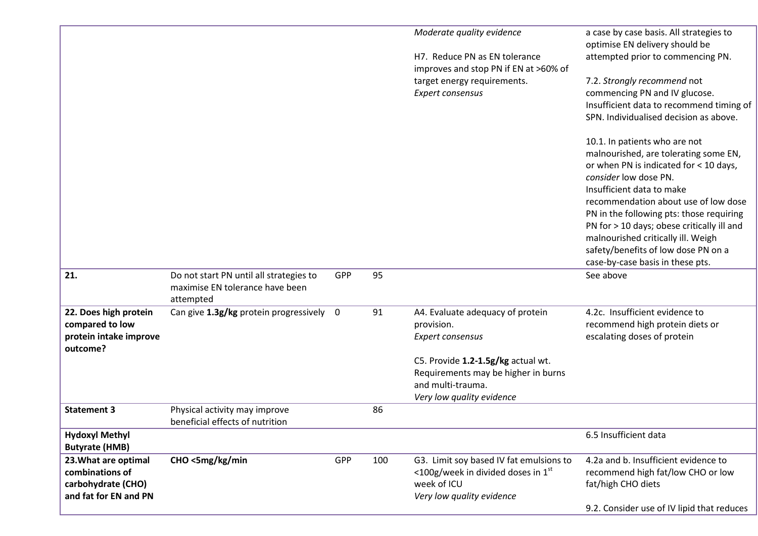|                                                                                        |                                                                                         |     |     | Moderate quality evidence                                                                                                       | a case by case basis. All strategies to<br>optimise EN delivery should be                                                                                                                                                                                                                                                                                                                                                 |
|----------------------------------------------------------------------------------------|-----------------------------------------------------------------------------------------|-----|-----|---------------------------------------------------------------------------------------------------------------------------------|---------------------------------------------------------------------------------------------------------------------------------------------------------------------------------------------------------------------------------------------------------------------------------------------------------------------------------------------------------------------------------------------------------------------------|
|                                                                                        |                                                                                         |     |     | H7. Reduce PN as EN tolerance<br>improves and stop PN if EN at >60% of                                                          | attempted prior to commencing PN.                                                                                                                                                                                                                                                                                                                                                                                         |
|                                                                                        |                                                                                         |     |     | target energy requirements.<br>Expert consensus                                                                                 | 7.2. Strongly recommend not<br>commencing PN and IV glucose.<br>Insufficient data to recommend timing of<br>SPN. Individualised decision as above.                                                                                                                                                                                                                                                                        |
|                                                                                        |                                                                                         |     |     |                                                                                                                                 | 10.1. In patients who are not<br>malnourished, are tolerating some EN,<br>or when PN is indicated for < 10 days,<br>consider low dose PN.<br>Insufficient data to make<br>recommendation about use of low dose<br>PN in the following pts: those requiring<br>PN for > 10 days; obese critically ill and<br>malnourished critically ill. Weigh<br>safety/benefits of low dose PN on a<br>case-by-case basis in these pts. |
| 21.                                                                                    | Do not start PN until all strategies to<br>maximise EN tolerance have been<br>attempted | GPP | 95  |                                                                                                                                 | See above                                                                                                                                                                                                                                                                                                                                                                                                                 |
| 22. Does high protein                                                                  | Can give 1.3g/kg protein progressively 0                                                |     | 91  | A4. Evaluate adequacy of protein                                                                                                | 4.2c. Insufficient evidence to                                                                                                                                                                                                                                                                                                                                                                                            |
| compared to low<br>protein intake improve                                              |                                                                                         |     |     | provision.<br>Expert consensus                                                                                                  | recommend high protein diets or<br>escalating doses of protein                                                                                                                                                                                                                                                                                                                                                            |
| outcome?                                                                               |                                                                                         |     |     |                                                                                                                                 |                                                                                                                                                                                                                                                                                                                                                                                                                           |
|                                                                                        |                                                                                         |     |     | C5. Provide 1.2-1.5g/kg actual wt.<br>Requirements may be higher in burns<br>and multi-trauma.<br>Very low quality evidence     |                                                                                                                                                                                                                                                                                                                                                                                                                           |
| <b>Statement 3</b>                                                                     | Physical activity may improve<br>beneficial effects of nutrition                        |     | 86  |                                                                                                                                 |                                                                                                                                                                                                                                                                                                                                                                                                                           |
| <b>Hydoxyl Methyl</b><br><b>Butyrate (HMB)</b>                                         |                                                                                         |     |     |                                                                                                                                 | 6.5 Insufficient data                                                                                                                                                                                                                                                                                                                                                                                                     |
| 23. What are optimal<br>combinations of<br>carbohydrate (CHO)<br>and fat for EN and PN | CHO <5mg/kg/min                                                                         | GPP | 100 | G3. Limit soy based IV fat emulsions to<br>$\leq$ 100g/week in divided doses in 1st<br>week of ICU<br>Very low quality evidence | 4.2a and b. Insufficient evidence to<br>recommend high fat/low CHO or low<br>fat/high CHO diets                                                                                                                                                                                                                                                                                                                           |
|                                                                                        |                                                                                         |     |     |                                                                                                                                 | 9.2. Consider use of IV lipid that reduces                                                                                                                                                                                                                                                                                                                                                                                |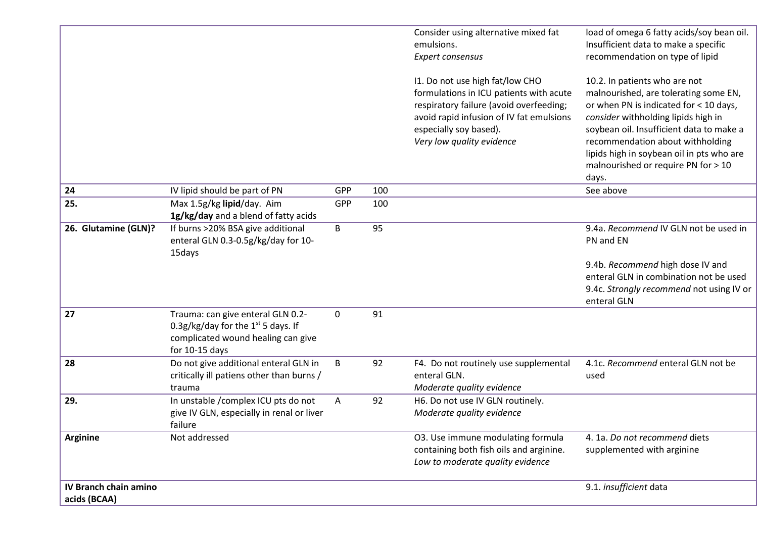| <b>IV Branch chain amino</b><br>acids (BCAA) |                                                                                                                                     |             |     |                                                                                                                                                                                                                                                                                                    | 9.1. insufficient data                                                                                                                                                                                                                                                                                                                                                                                                                                       |
|----------------------------------------------|-------------------------------------------------------------------------------------------------------------------------------------|-------------|-----|----------------------------------------------------------------------------------------------------------------------------------------------------------------------------------------------------------------------------------------------------------------------------------------------------|--------------------------------------------------------------------------------------------------------------------------------------------------------------------------------------------------------------------------------------------------------------------------------------------------------------------------------------------------------------------------------------------------------------------------------------------------------------|
| <b>Arginine</b>                              | Not addressed                                                                                                                       |             |     | O3. Use immune modulating formula<br>containing both fish oils and arginine.<br>Low to moderate quality evidence                                                                                                                                                                                   | 4. 1a. Do not recommend diets<br>supplemented with arginine                                                                                                                                                                                                                                                                                                                                                                                                  |
| 29.                                          | In unstable /complex ICU pts do not<br>give IV GLN, especially in renal or liver<br>failure                                         | A           | 92  | H6. Do not use IV GLN routinely.<br>Moderate quality evidence                                                                                                                                                                                                                                      |                                                                                                                                                                                                                                                                                                                                                                                                                                                              |
| 28                                           | Do not give additional enteral GLN in<br>critically ill patiens other than burns /<br>trauma                                        | B           | 92  | F4. Do not routinely use supplemental<br>enteral GLN.<br>Moderate quality evidence                                                                                                                                                                                                                 | 4.1c. Recommend enteral GLN not be<br>used                                                                                                                                                                                                                                                                                                                                                                                                                   |
| 27                                           | Trauma: can give enteral GLN 0.2-<br>0.3g/kg/day for the $1st$ 5 days. If<br>complicated wound healing can give<br>for $10-15$ days | $\mathbf 0$ | 91  |                                                                                                                                                                                                                                                                                                    |                                                                                                                                                                                                                                                                                                                                                                                                                                                              |
|                                              | enteral GLN 0.3-0.5g/kg/day for 10-<br>15days                                                                                       |             |     |                                                                                                                                                                                                                                                                                                    | PN and EN<br>9.4b. Recommend high dose IV and<br>enteral GLN in combination not be used<br>9.4c. Strongly recommend not using IV or<br>enteral GLN                                                                                                                                                                                                                                                                                                           |
| 26. Glutamine (GLN)?                         | 1g/kg/day and a blend of fatty acids<br>If burns >20% BSA give additional                                                           | B           | 95  |                                                                                                                                                                                                                                                                                                    | 9.4a. Recommend IV GLN not be used in                                                                                                                                                                                                                                                                                                                                                                                                                        |
| 25.                                          | Max 1.5g/kg lipid/day. Aim                                                                                                          | GPP         | 100 |                                                                                                                                                                                                                                                                                                    |                                                                                                                                                                                                                                                                                                                                                                                                                                                              |
| 24                                           | IV lipid should be part of PN                                                                                                       | GPP         | 100 |                                                                                                                                                                                                                                                                                                    | See above                                                                                                                                                                                                                                                                                                                                                                                                                                                    |
|                                              |                                                                                                                                     |             |     | Consider using alternative mixed fat<br>emulsions.<br>Expert consensus<br>11. Do not use high fat/low CHO<br>formulations in ICU patients with acute<br>respiratory failure (avoid overfeeding;<br>avoid rapid infusion of IV fat emulsions<br>especially soy based).<br>Very low quality evidence | load of omega 6 fatty acids/soy bean oil.<br>Insufficient data to make a specific<br>recommendation on type of lipid<br>10.2. In patients who are not<br>malnourished, are tolerating some EN,<br>or when PN is indicated for < 10 days,<br>consider withholding lipids high in<br>soybean oil. Insufficient data to make a<br>recommendation about withholding<br>lipids high in soybean oil in pts who are<br>malnourished or require PN for > 10<br>days. |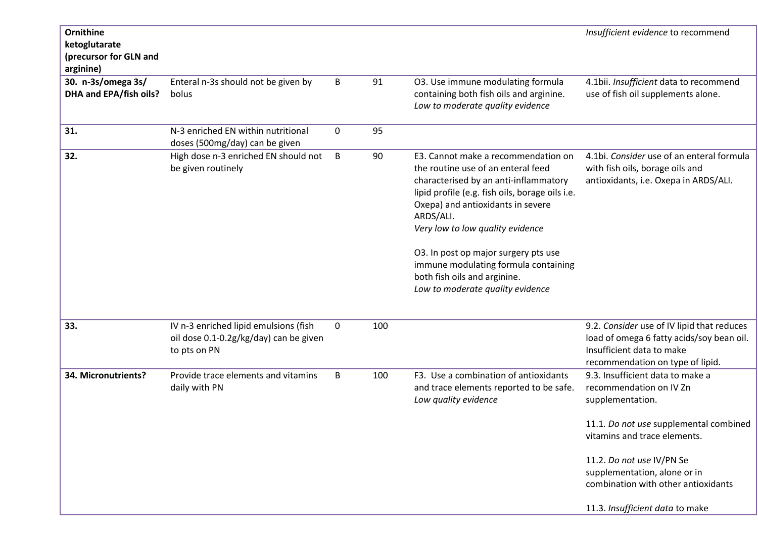| Ornithine<br>ketoglutarate<br>(precursor for GLN and<br>arginine) |                                                                                                 |             |     |                                                                                                                                                                                                                                                                                                                                                                                                                 | Insufficient evidence to recommend                                                                                                                       |
|-------------------------------------------------------------------|-------------------------------------------------------------------------------------------------|-------------|-----|-----------------------------------------------------------------------------------------------------------------------------------------------------------------------------------------------------------------------------------------------------------------------------------------------------------------------------------------------------------------------------------------------------------------|----------------------------------------------------------------------------------------------------------------------------------------------------------|
| 30. n-3s/omega 3s/<br>DHA and EPA/fish oils?                      | Enteral n-3s should not be given by<br>bolus                                                    | B           | 91  | O3. Use immune modulating formula<br>containing both fish oils and arginine.<br>Low to moderate quality evidence                                                                                                                                                                                                                                                                                                | 4.1bii. Insufficient data to recommend<br>use of fish oil supplements alone.                                                                             |
| 31.                                                               | N-3 enriched EN within nutritional<br>doses (500mg/day) can be given                            | 0           | 95  |                                                                                                                                                                                                                                                                                                                                                                                                                 |                                                                                                                                                          |
| 32.                                                               | High dose n-3 enriched EN should not<br>be given routinely                                      | B           | 90  | E3. Cannot make a recommendation on<br>the routine use of an enteral feed<br>characterised by an anti-inflammatory<br>lipid profile (e.g. fish oils, borage oils i.e.<br>Oxepa) and antioxidants in severe<br>ARDS/ALI.<br>Very low to low quality evidence<br>O3. In post op major surgery pts use<br>immune modulating formula containing<br>both fish oils and arginine.<br>Low to moderate quality evidence | 4.1bi. Consider use of an enteral formula<br>with fish oils, borage oils and<br>antioxidants, i.e. Oxepa in ARDS/ALI.                                    |
| 33.                                                               | IV n-3 enriched lipid emulsions (fish<br>oil dose 0.1-0.2g/kg/day) can be given<br>to pts on PN | $\mathbf 0$ | 100 |                                                                                                                                                                                                                                                                                                                                                                                                                 | 9.2. Consider use of IV lipid that reduces<br>load of omega 6 fatty acids/soy bean oil.<br>Insufficient data to make<br>recommendation on type of lipid. |
| 34. Micronutrients?                                               | Provide trace elements and vitamins<br>daily with PN                                            | B           | 100 | F3. Use a combination of antioxidants<br>and trace elements reported to be safe.<br>Low quality evidence                                                                                                                                                                                                                                                                                                        | 9.3. Insufficient data to make a<br>recommendation on IV Zn<br>supplementation.                                                                          |
|                                                                   |                                                                                                 |             |     |                                                                                                                                                                                                                                                                                                                                                                                                                 | 11.1. Do not use supplemental combined<br>vitamins and trace elements.                                                                                   |
|                                                                   |                                                                                                 |             |     |                                                                                                                                                                                                                                                                                                                                                                                                                 | 11.2. Do not use IV/PN Se<br>supplementation, alone or in<br>combination with other antioxidants                                                         |
|                                                                   |                                                                                                 |             |     |                                                                                                                                                                                                                                                                                                                                                                                                                 | 11.3. Insufficient data to make                                                                                                                          |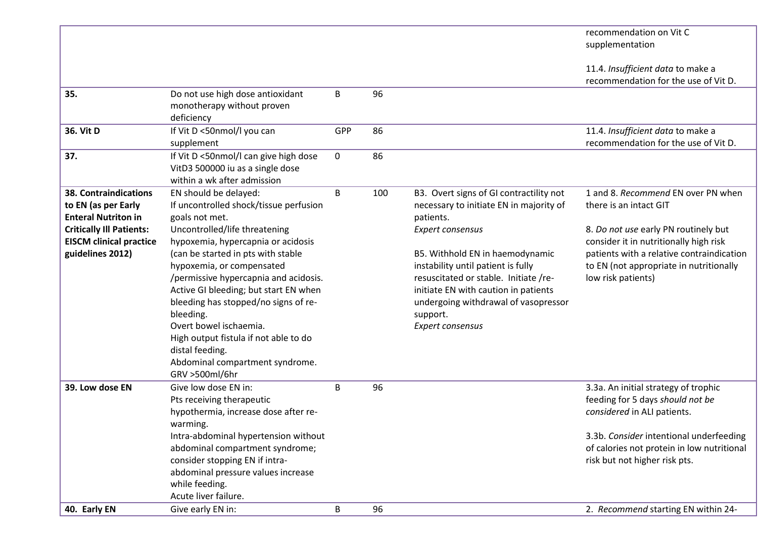|                                                                                                                                                                            |                                                                                                                                                                                                                                                                                                                                                                                                                                                                                                               |     |     |                                                                                                                                                                                                                                                                                                                                                       | recommendation on Vit C<br>supplementation                                                                                                                                                                                                                   |
|----------------------------------------------------------------------------------------------------------------------------------------------------------------------------|---------------------------------------------------------------------------------------------------------------------------------------------------------------------------------------------------------------------------------------------------------------------------------------------------------------------------------------------------------------------------------------------------------------------------------------------------------------------------------------------------------------|-----|-----|-------------------------------------------------------------------------------------------------------------------------------------------------------------------------------------------------------------------------------------------------------------------------------------------------------------------------------------------------------|--------------------------------------------------------------------------------------------------------------------------------------------------------------------------------------------------------------------------------------------------------------|
|                                                                                                                                                                            |                                                                                                                                                                                                                                                                                                                                                                                                                                                                                                               |     |     |                                                                                                                                                                                                                                                                                                                                                       | 11.4. Insufficient data to make a<br>recommendation for the use of Vit D.                                                                                                                                                                                    |
| 35.                                                                                                                                                                        | Do not use high dose antioxidant<br>monotherapy without proven<br>deficiency                                                                                                                                                                                                                                                                                                                                                                                                                                  | B   | 96  |                                                                                                                                                                                                                                                                                                                                                       |                                                                                                                                                                                                                                                              |
| 36. Vit D                                                                                                                                                                  | If Vit D <50nmol/l you can<br>supplement                                                                                                                                                                                                                                                                                                                                                                                                                                                                      | GPP | 86  |                                                                                                                                                                                                                                                                                                                                                       | 11.4. Insufficient data to make a<br>recommendation for the use of Vit D.                                                                                                                                                                                    |
| 37.                                                                                                                                                                        | If Vit D <50nmol/I can give high dose<br>VitD3 500000 iu as a single dose<br>within a wk after admission                                                                                                                                                                                                                                                                                                                                                                                                      | 0   | 86  |                                                                                                                                                                                                                                                                                                                                                       |                                                                                                                                                                                                                                                              |
| <b>38. Contraindications</b><br>to EN (as per Early<br><b>Enteral Nutriton in</b><br><b>Critically III Patients:</b><br><b>EISCM clinical practice</b><br>guidelines 2012) | EN should be delayed:<br>If uncontrolled shock/tissue perfusion<br>goals not met.<br>Uncontrolled/life threatening<br>hypoxemia, hypercapnia or acidosis<br>(can be started in pts with stable<br>hypoxemia, or compensated<br>/permissive hypercapnia and acidosis.<br>Active GI bleeding; but start EN when<br>bleeding has stopped/no signs of re-<br>bleeding.<br>Overt bowel ischaemia.<br>High output fistula if not able to do<br>distal feeding.<br>Abdominal compartment syndrome.<br>GRV >500ml/6hr | B   | 100 | B3. Overt signs of GI contractility not<br>necessary to initiate EN in majority of<br>patients.<br>Expert consensus<br>B5. Withhold EN in haemodynamic<br>instability until patient is fully<br>resuscitated or stable. Initiate /re-<br>initiate EN with caution in patients<br>undergoing withdrawal of vasopressor<br>support.<br>Expert consensus | 1 and 8. Recommend EN over PN when<br>there is an intact GIT<br>8. Do not use early PN routinely but<br>consider it in nutritionally high risk<br>patients with a relative contraindication<br>to EN (not appropriate in nutritionally<br>low risk patients) |
| 39. Low dose EN                                                                                                                                                            | Give low dose EN in:<br>Pts receiving therapeutic<br>hypothermia, increase dose after re-<br>warming.<br>Intra-abdominal hypertension without<br>abdominal compartment syndrome;<br>consider stopping EN if intra-<br>abdominal pressure values increase                                                                                                                                                                                                                                                      | B   | 96  |                                                                                                                                                                                                                                                                                                                                                       | 3.3a. An initial strategy of trophic<br>feeding for 5 days should not be<br>considered in ALI patients.<br>3.3b. Consider intentional underfeeding<br>of calories not protein in low nutritional<br>risk but not higher risk pts.                            |
| 40. Early EN                                                                                                                                                               | while feeding.<br>Acute liver failure.<br>Give early EN in:                                                                                                                                                                                                                                                                                                                                                                                                                                                   | B   | 96  |                                                                                                                                                                                                                                                                                                                                                       | 2. Recommend starting EN within 24-                                                                                                                                                                                                                          |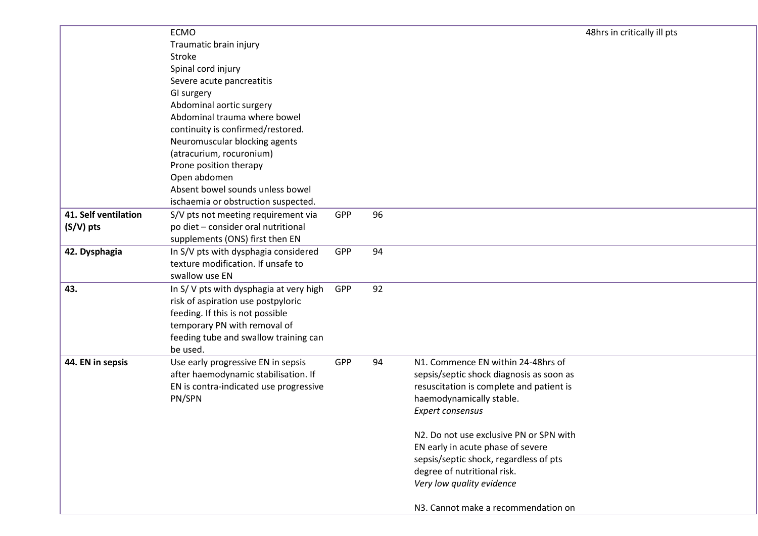|                      | <b>ECMO</b>                                                                |     |    | 48hrs in critically ill pts              |  |
|----------------------|----------------------------------------------------------------------------|-----|----|------------------------------------------|--|
|                      | Traumatic brain injury                                                     |     |    |                                          |  |
|                      | Stroke                                                                     |     |    |                                          |  |
|                      | Spinal cord injury                                                         |     |    |                                          |  |
|                      | Severe acute pancreatitis                                                  |     |    |                                          |  |
|                      | GI surgery                                                                 |     |    |                                          |  |
|                      | Abdominal aortic surgery                                                   |     |    |                                          |  |
|                      | Abdominal trauma where bowel                                               |     |    |                                          |  |
|                      | continuity is confirmed/restored.                                          |     |    |                                          |  |
|                      | Neuromuscular blocking agents                                              |     |    |                                          |  |
|                      | (atracurium, rocuronium)                                                   |     |    |                                          |  |
|                      | Prone position therapy                                                     |     |    |                                          |  |
|                      | Open abdomen                                                               |     |    |                                          |  |
|                      | Absent bowel sounds unless bowel                                           |     |    |                                          |  |
|                      | ischaemia or obstruction suspected.                                        |     |    |                                          |  |
| 41. Self ventilation |                                                                            | GPP | 96 |                                          |  |
|                      | S/V pts not meeting requirement via<br>po diet - consider oral nutritional |     |    |                                          |  |
| (S/V) pts            | supplements (ONS) first then EN                                            |     |    |                                          |  |
|                      |                                                                            |     | 94 |                                          |  |
| 42. Dysphagia        | In S/V pts with dysphagia considered<br>texture modification. If unsafe to | GPP |    |                                          |  |
|                      | swallow use EN                                                             |     |    |                                          |  |
|                      |                                                                            |     |    |                                          |  |
| 43.                  | In S/V pts with dysphagia at very high                                     | GPP | 92 |                                          |  |
|                      | risk of aspiration use postpyloric                                         |     |    |                                          |  |
|                      | feeding. If this is not possible                                           |     |    |                                          |  |
|                      | temporary PN with removal of                                               |     |    |                                          |  |
|                      | feeding tube and swallow training can<br>be used.                          |     |    |                                          |  |
|                      |                                                                            | GPP | 94 | N1. Commence EN within 24-48hrs of       |  |
| 44. EN in sepsis     | Use early progressive EN in sepsis<br>after haemodynamic stabilisation. If |     |    | sepsis/septic shock diagnosis as soon as |  |
|                      | EN is contra-indicated use progressive                                     |     |    | resuscitation is complete and patient is |  |
|                      | PN/SPN                                                                     |     |    | haemodynamically stable.                 |  |
|                      |                                                                            |     |    | Expert consensus                         |  |
|                      |                                                                            |     |    |                                          |  |
|                      |                                                                            |     |    | N2. Do not use exclusive PN or SPN with  |  |
|                      |                                                                            |     |    | EN early in acute phase of severe        |  |
|                      |                                                                            |     |    | sepsis/septic shock, regardless of pts   |  |
|                      |                                                                            |     |    | degree of nutritional risk.              |  |
|                      |                                                                            |     |    | Very low quality evidence                |  |
|                      |                                                                            |     |    |                                          |  |
|                      |                                                                            |     |    | N3. Cannot make a recommendation on      |  |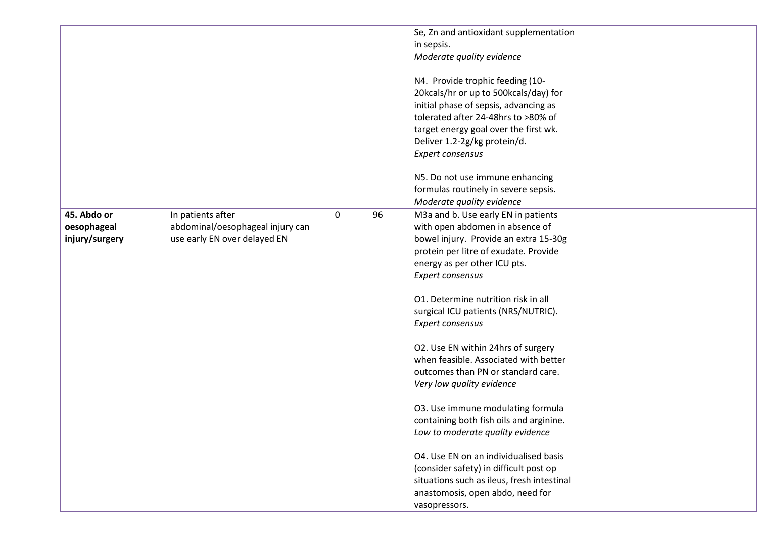|                |                                  |             |    | Se, Zn and antioxidant supplementation     |
|----------------|----------------------------------|-------------|----|--------------------------------------------|
|                |                                  |             |    | in sepsis.                                 |
|                |                                  |             |    | Moderate quality evidence                  |
|                |                                  |             |    | N4. Provide trophic feeding (10-           |
|                |                                  |             |    | 20kcals/hr or up to 500kcals/day) for      |
|                |                                  |             |    | initial phase of sepsis, advancing as      |
|                |                                  |             |    | tolerated after 24-48hrs to >80% of        |
|                |                                  |             |    | target energy goal over the first wk.      |
|                |                                  |             |    | Deliver 1.2-2g/kg protein/d.               |
|                |                                  |             |    | Expert consensus                           |
|                |                                  |             |    | N5. Do not use immune enhancing            |
|                |                                  |             |    | formulas routinely in severe sepsis.       |
|                |                                  |             |    | Moderate quality evidence                  |
| 45. Abdo or    | In patients after                | $\mathbf 0$ | 96 | M3a and b. Use early EN in patients        |
| oesophageal    | abdominal/oesophageal injury can |             |    | with open abdomen in absence of            |
| injury/surgery | use early EN over delayed EN     |             |    | bowel injury. Provide an extra 15-30g      |
|                |                                  |             |    | protein per litre of exudate. Provide      |
|                |                                  |             |    | energy as per other ICU pts.               |
|                |                                  |             |    | Expert consensus                           |
|                |                                  |             |    |                                            |
|                |                                  |             |    | 01. Determine nutrition risk in all        |
|                |                                  |             |    | surgical ICU patients (NRS/NUTRIC).        |
|                |                                  |             |    | Expert consensus                           |
|                |                                  |             |    |                                            |
|                |                                  |             |    | O2. Use EN within 24hrs of surgery         |
|                |                                  |             |    | when feasible. Associated with better      |
|                |                                  |             |    | outcomes than PN or standard care.         |
|                |                                  |             |    | Very low quality evidence                  |
|                |                                  |             |    | O3. Use immune modulating formula          |
|                |                                  |             |    | containing both fish oils and arginine.    |
|                |                                  |             |    | Low to moderate quality evidence           |
|                |                                  |             |    |                                            |
|                |                                  |             |    | O4. Use EN on an individualised basis      |
|                |                                  |             |    | (consider safety) in difficult post op     |
|                |                                  |             |    | situations such as ileus, fresh intestinal |
|                |                                  |             |    | anastomosis, open abdo, need for           |
|                |                                  |             |    | vasopressors.                              |
|                |                                  |             |    |                                            |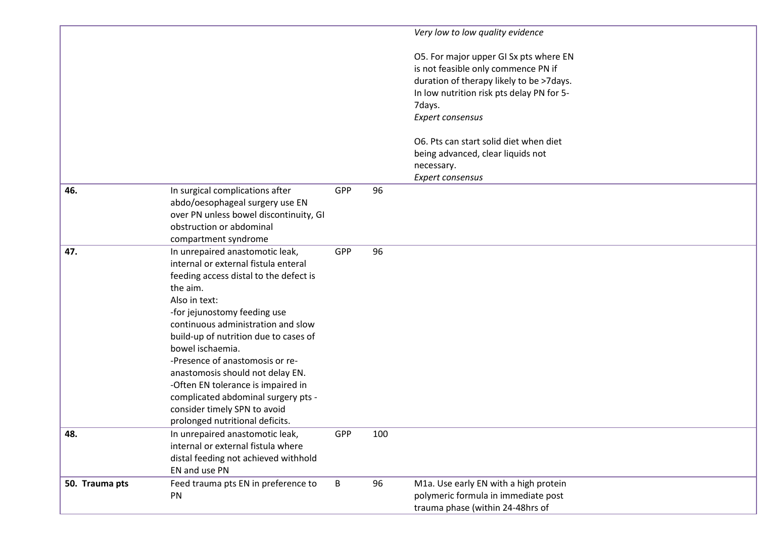|                |                                        |     |     | Very low to low quality evidence          |
|----------------|----------------------------------------|-----|-----|-------------------------------------------|
|                |                                        |     |     | O5. For major upper GI Sx pts where EN    |
|                |                                        |     |     | is not feasible only commence PN if       |
|                |                                        |     |     | duration of therapy likely to be >7days.  |
|                |                                        |     |     | In low nutrition risk pts delay PN for 5- |
|                |                                        |     |     | 7days.                                    |
|                |                                        |     |     | Expert consensus                          |
|                |                                        |     |     |                                           |
|                |                                        |     |     | O6. Pts can start solid diet when diet    |
|                |                                        |     |     | being advanced, clear liquids not         |
|                |                                        |     |     | necessary.                                |
|                |                                        |     |     | Expert consensus                          |
| 46.            | In surgical complications after        | GPP | 96  |                                           |
|                | abdo/oesophageal surgery use EN        |     |     |                                           |
|                | over PN unless bowel discontinuity, GI |     |     |                                           |
|                | obstruction or abdominal               |     |     |                                           |
|                | compartment syndrome                   |     |     |                                           |
| 47.            | In unrepaired anastomotic leak,        | GPP | 96  |                                           |
|                | internal or external fistula enteral   |     |     |                                           |
|                | feeding access distal to the defect is |     |     |                                           |
|                | the aim.                               |     |     |                                           |
|                | Also in text:                          |     |     |                                           |
|                | -for jejunostomy feeding use           |     |     |                                           |
|                | continuous administration and slow     |     |     |                                           |
|                | build-up of nutrition due to cases of  |     |     |                                           |
|                | bowel ischaemia.                       |     |     |                                           |
|                | -Presence of anastomosis or re-        |     |     |                                           |
|                | anastomosis should not delay EN.       |     |     |                                           |
|                | -Often EN tolerance is impaired in     |     |     |                                           |
|                | complicated abdominal surgery pts -    |     |     |                                           |
|                | consider timely SPN to avoid           |     |     |                                           |
|                | prolonged nutritional deficits.        |     |     |                                           |
| 48.            | In unrepaired anastomotic leak,        | GPP | 100 |                                           |
|                | internal or external fistula where     |     |     |                                           |
|                | distal feeding not achieved withhold   |     |     |                                           |
|                | EN and use PN                          |     |     |                                           |
| 50. Trauma pts | Feed trauma pts EN in preference to    | B   | 96  | M1a. Use early EN with a high protein     |
|                | PN                                     |     |     | polymeric formula in immediate post       |
|                |                                        |     |     | trauma phase (within 24-48hrs of          |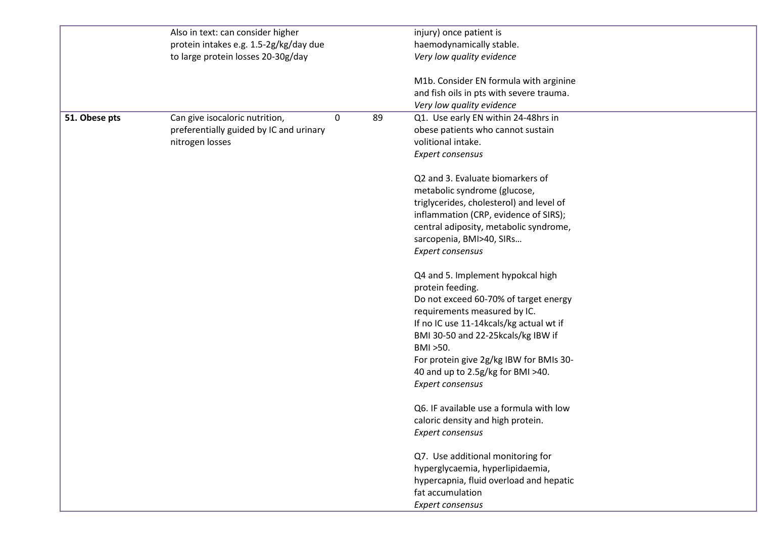|               | Also in text: can consider higher       |                  |    | injury) once patient is                  |
|---------------|-----------------------------------------|------------------|----|------------------------------------------|
|               | protein intakes e.g. 1.5-2g/kg/day due  |                  |    | haemodynamically stable.                 |
|               | to large protein losses 20-30g/day      |                  |    | Very low quality evidence                |
|               |                                         |                  |    | M1b. Consider EN formula with arginine   |
|               |                                         |                  |    | and fish oils in pts with severe trauma. |
|               |                                         |                  |    | Very low quality evidence                |
| 51. Obese pts | Can give isocaloric nutrition,          | $\boldsymbol{0}$ | 89 | Q1. Use early EN within 24-48hrs in      |
|               | preferentially guided by IC and urinary |                  |    | obese patients who cannot sustain        |
|               | nitrogen losses                         |                  |    | volitional intake.                       |
|               |                                         |                  |    | Expert consensus                         |
|               |                                         |                  |    | Q2 and 3. Evaluate biomarkers of         |
|               |                                         |                  |    | metabolic syndrome (glucose,             |
|               |                                         |                  |    | triglycerides, cholesterol) and level of |
|               |                                         |                  |    | inflammation (CRP, evidence of SIRS);    |
|               |                                         |                  |    | central adiposity, metabolic syndrome,   |
|               |                                         |                  |    | sarcopenia, BMI>40, SIRs                 |
|               |                                         |                  |    | Expert consensus                         |
|               |                                         |                  |    | Q4 and 5. Implement hypokcal high        |
|               |                                         |                  |    | protein feeding.                         |
|               |                                         |                  |    | Do not exceed 60-70% of target energy    |
|               |                                         |                  |    | requirements measured by IC.             |
|               |                                         |                  |    | If no IC use 11-14kcals/kg actual wt if  |
|               |                                         |                  |    | BMI 30-50 and 22-25kcals/kg IBW if       |
|               |                                         |                  |    | BMI > 50.                                |
|               |                                         |                  |    | For protein give 2g/kg IBW for BMIs 30-  |
|               |                                         |                  |    | 40 and up to 2.5g/kg for BMI >40.        |
|               |                                         |                  |    | Expert consensus                         |
|               |                                         |                  |    | Q6. IF available use a formula with low  |
|               |                                         |                  |    | caloric density and high protein.        |
|               |                                         |                  |    | Expert consensus                         |
|               |                                         |                  |    | Q7. Use additional monitoring for        |
|               |                                         |                  |    | hyperglycaemia, hyperlipidaemia,         |
|               |                                         |                  |    | hypercapnia, fluid overload and hepatic  |
|               |                                         |                  |    | fat accumulation                         |
|               |                                         |                  |    | Expert consensus                         |
|               |                                         |                  |    |                                          |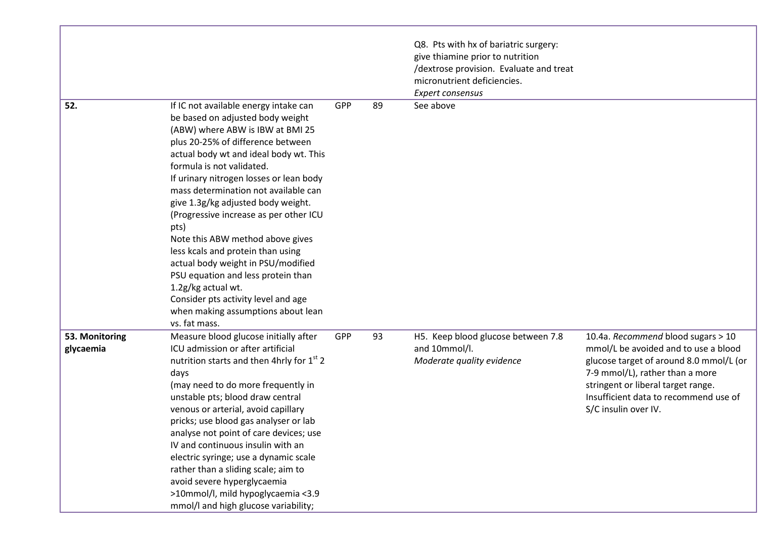|                             |                                                                                                                                                                                                                                                                                                                                                                                                                                                                                                                                                                                                                                                                               |            |    | Q8. Pts with hx of bariatric surgery:<br>give thiamine prior to nutrition<br>/dextrose provision. Evaluate and treat<br>micronutrient deficiencies.<br>Expert consensus |                                                                                                                                                                                                                                                                 |
|-----------------------------|-------------------------------------------------------------------------------------------------------------------------------------------------------------------------------------------------------------------------------------------------------------------------------------------------------------------------------------------------------------------------------------------------------------------------------------------------------------------------------------------------------------------------------------------------------------------------------------------------------------------------------------------------------------------------------|------------|----|-------------------------------------------------------------------------------------------------------------------------------------------------------------------------|-----------------------------------------------------------------------------------------------------------------------------------------------------------------------------------------------------------------------------------------------------------------|
| 52.                         | If IC not available energy intake can<br>be based on adjusted body weight<br>(ABW) where ABW is IBW at BMI 25<br>plus 20-25% of difference between<br>actual body wt and ideal body wt. This<br>formula is not validated.<br>If urinary nitrogen losses or lean body<br>mass determination not available can<br>give 1.3g/kg adjusted body weight.<br>(Progressive increase as per other ICU<br>pts)<br>Note this ABW method above gives<br>less kcals and protein than using<br>actual body weight in PSU/modified<br>PSU equation and less protein than<br>1.2g/kg actual wt.<br>Consider pts activity level and age<br>when making assumptions about lean<br>vs. fat mass. | <b>GPP</b> | 89 | See above                                                                                                                                                               |                                                                                                                                                                                                                                                                 |
| 53. Monitoring<br>glycaemia | Measure blood glucose initially after<br>ICU admission or after artificial<br>nutrition starts and then 4hrly for 1 <sup>st</sup> 2<br>days<br>(may need to do more frequently in<br>unstable pts; blood draw central<br>venous or arterial, avoid capillary<br>pricks; use blood gas analyser or lab<br>analyse not point of care devices; use<br>IV and continuous insulin with an<br>electric syringe; use a dynamic scale<br>rather than a sliding scale; aim to<br>avoid severe hyperglycaemia<br>>10mmol/l, mild hypoglycaemia <3.9<br>mmol/I and high glucose variability;                                                                                             | GPP        | 93 | H5. Keep blood glucose between 7.8<br>and 10mmol/l.<br>Moderate quality evidence                                                                                        | 10.4a. Recommend blood sugars > 10<br>mmol/L be avoided and to use a blood<br>glucose target of around 8.0 mmol/L (or<br>7-9 mmol/L), rather than a more<br>stringent or liberal target range.<br>Insufficient data to recommend use of<br>S/C insulin over IV. |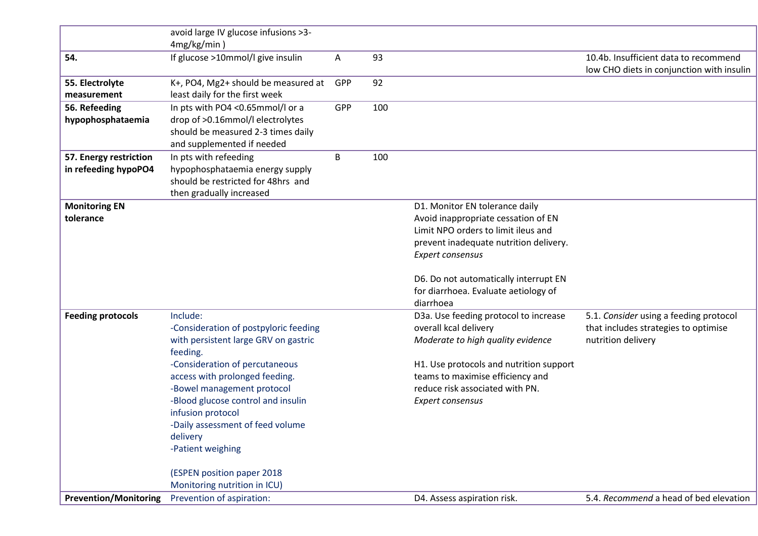| <b>Prevention/Monitoring</b>                   | Prevention of aspiration:                                                                                                                                                                                                                                                                                                               |     |     | D4. Assess aspiration risk.                                                                                                                                                                                                                                 | 5.4. Recommend a head of bed elevation                                                               |
|------------------------------------------------|-----------------------------------------------------------------------------------------------------------------------------------------------------------------------------------------------------------------------------------------------------------------------------------------------------------------------------------------|-----|-----|-------------------------------------------------------------------------------------------------------------------------------------------------------------------------------------------------------------------------------------------------------------|------------------------------------------------------------------------------------------------------|
|                                                | (ESPEN position paper 2018<br>Monitoring nutrition in ICU)                                                                                                                                                                                                                                                                              |     |     |                                                                                                                                                                                                                                                             |                                                                                                      |
| <b>Feeding protocols</b>                       | Include:<br>-Consideration of postpyloric feeding<br>with persistent large GRV on gastric<br>feeding.<br>-Consideration of percutaneous<br>access with prolonged feeding.<br>-Bowel management protocol<br>-Blood glucose control and insulin<br>infusion protocol<br>-Daily assessment of feed volume<br>delivery<br>-Patient weighing |     |     | diarrhoea<br>D3a. Use feeding protocol to increase<br>overall kcal delivery<br>Moderate to high quality evidence<br>H1. Use protocols and nutrition support<br>teams to maximise efficiency and<br>reduce risk associated with PN.<br>Expert consensus      | 5.1. Consider using a feeding protocol<br>that includes strategies to optimise<br>nutrition delivery |
| <b>Monitoring EN</b><br>tolerance              |                                                                                                                                                                                                                                                                                                                                         |     |     | D1. Monitor EN tolerance daily<br>Avoid inappropriate cessation of EN<br>Limit NPO orders to limit ileus and<br>prevent inadequate nutrition delivery.<br>Expert consensus<br>D6. Do not automatically interrupt EN<br>for diarrhoea. Evaluate aetiology of |                                                                                                      |
| 57. Energy restriction<br>in refeeding hypoPO4 | In pts with refeeding<br>hypophosphataemia energy supply<br>should be restricted for 48hrs and<br>then gradually increased                                                                                                                                                                                                              | B   | 100 |                                                                                                                                                                                                                                                             |                                                                                                      |
| 56. Refeeding<br>hypophosphataemia             | In pts with PO4 <0.65mmol/l or a<br>drop of >0.16mmol/l electrolytes<br>should be measured 2-3 times daily<br>and supplemented if needed                                                                                                                                                                                                | GPP | 100 |                                                                                                                                                                                                                                                             |                                                                                                      |
| 55. Electrolyte<br>measurement                 | K+, PO4, Mg2+ should be measured at<br>least daily for the first week                                                                                                                                                                                                                                                                   | GPP | 92  |                                                                                                                                                                                                                                                             |                                                                                                      |
| 54.                                            | If glucose >10mmol/l give insulin                                                                                                                                                                                                                                                                                                       | A   | 93  |                                                                                                                                                                                                                                                             | 10.4b. Insufficient data to recommend<br>low CHO diets in conjunction with insulin                   |
|                                                | avoid large IV glucose infusions >3-<br>4mg/kg/min)                                                                                                                                                                                                                                                                                     |     |     |                                                                                                                                                                                                                                                             |                                                                                                      |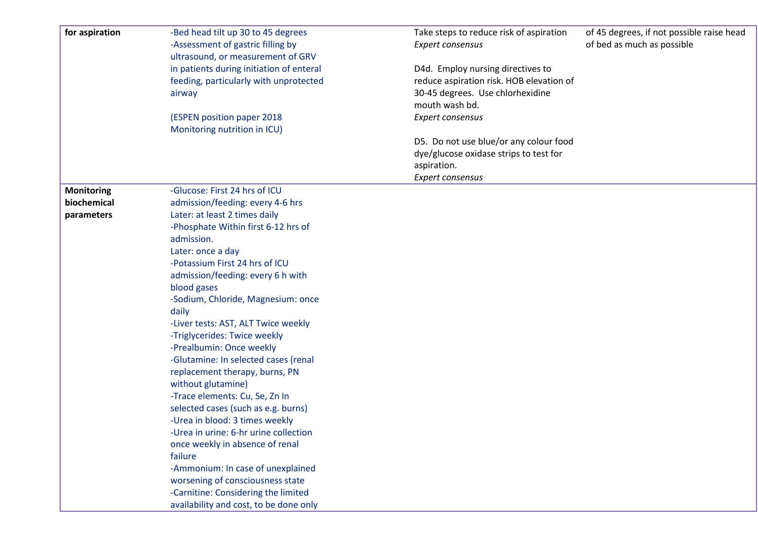| for aspiration    | -Bed head tilt up 30 to 45 degrees<br>-Assessment of gastric filling by | Take steps to reduce risk of aspiration<br>Expert consensus | of 45 degrees, if not possible raise head<br>of bed as much as possible |
|-------------------|-------------------------------------------------------------------------|-------------------------------------------------------------|-------------------------------------------------------------------------|
|                   | ultrasound, or measurement of GRV                                       |                                                             |                                                                         |
|                   | in patients during initiation of enteral                                | D4d. Employ nursing directives to                           |                                                                         |
|                   | feeding, particularly with unprotected                                  | reduce aspiration risk. HOB elevation of                    |                                                                         |
|                   | airway                                                                  | 30-45 degrees. Use chlorhexidine                            |                                                                         |
|                   |                                                                         | mouth wash bd.                                              |                                                                         |
|                   | (ESPEN position paper 2018                                              | Expert consensus                                            |                                                                         |
|                   | Monitoring nutrition in ICU)                                            |                                                             |                                                                         |
|                   |                                                                         | D5. Do not use blue/or any colour food                      |                                                                         |
|                   |                                                                         | dye/glucose oxidase strips to test for                      |                                                                         |
|                   |                                                                         | aspiration.                                                 |                                                                         |
|                   |                                                                         | <b>Expert consensus</b>                                     |                                                                         |
| <b>Monitoring</b> | -Glucose: First 24 hrs of ICU                                           |                                                             |                                                                         |
| biochemical       | admission/feeding: every 4-6 hrs                                        |                                                             |                                                                         |
| parameters        | Later: at least 2 times daily                                           |                                                             |                                                                         |
|                   | -Phosphate Within first 6-12 hrs of                                     |                                                             |                                                                         |
|                   | admission.                                                              |                                                             |                                                                         |
|                   | Later: once a day                                                       |                                                             |                                                                         |
|                   | -Potassium First 24 hrs of ICU                                          |                                                             |                                                                         |
|                   | admission/feeding: every 6 h with                                       |                                                             |                                                                         |
|                   | blood gases                                                             |                                                             |                                                                         |
|                   | -Sodium, Chloride, Magnesium: once                                      |                                                             |                                                                         |
|                   | daily                                                                   |                                                             |                                                                         |
|                   | -Liver tests: AST, ALT Twice weekly                                     |                                                             |                                                                         |
|                   | -Triglycerides: Twice weekly                                            |                                                             |                                                                         |
|                   | -Prealbumin: Once weekly                                                |                                                             |                                                                         |
|                   | -Glutamine: In selected cases (renal                                    |                                                             |                                                                         |
|                   | replacement therapy, burns, PN                                          |                                                             |                                                                         |
|                   | without glutamine)                                                      |                                                             |                                                                         |
|                   | -Trace elements: Cu, Se, Zn In                                          |                                                             |                                                                         |
|                   | selected cases (such as e.g. burns)                                     |                                                             |                                                                         |
|                   | -Urea in blood: 3 times weekly                                          |                                                             |                                                                         |
|                   | -Urea in urine: 6-hr urine collection                                   |                                                             |                                                                         |
|                   | once weekly in absence of renal                                         |                                                             |                                                                         |
|                   | failure                                                                 |                                                             |                                                                         |
|                   | -Ammonium: In case of unexplained                                       |                                                             |                                                                         |
|                   | worsening of consciousness state                                        |                                                             |                                                                         |
|                   | -Carnitine: Considering the limited                                     |                                                             |                                                                         |
|                   | availability and cost, to be done only                                  |                                                             |                                                                         |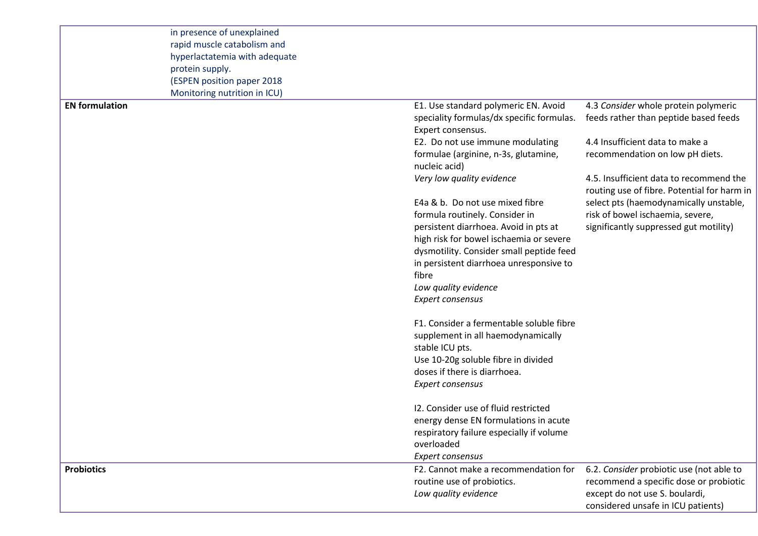|                       | in presence of unexplained<br>rapid muscle catabolism and<br>hyperlactatemia with adequate<br>protein supply.<br>(ESPEN position paper 2018<br>Monitoring nutrition in ICU) |                                                                |                                                                                        |
|-----------------------|-----------------------------------------------------------------------------------------------------------------------------------------------------------------------------|----------------------------------------------------------------|----------------------------------------------------------------------------------------|
| <b>EN</b> formulation |                                                                                                                                                                             | E1. Use standard polymeric EN. Avoid                           | 4.3 Consider whole protein polymeric                                                   |
|                       |                                                                                                                                                                             | speciality formulas/dx specific formulas.<br>Expert consensus. | feeds rather than peptide based feeds                                                  |
|                       |                                                                                                                                                                             | E2. Do not use immune modulating                               | 4.4 Insufficient data to make a                                                        |
|                       |                                                                                                                                                                             | formulae (arginine, n-3s, glutamine,<br>nucleic acid)          | recommendation on low pH diets.                                                        |
|                       |                                                                                                                                                                             | Very low quality evidence                                      | 4.5. Insufficient data to recommend the<br>routing use of fibre. Potential for harm in |
|                       |                                                                                                                                                                             | E4a & b. Do not use mixed fibre                                | select pts (haemodynamically unstable,                                                 |
|                       |                                                                                                                                                                             | formula routinely. Consider in                                 | risk of bowel ischaemia, severe,                                                       |
|                       |                                                                                                                                                                             | persistent diarrhoea. Avoid in pts at                          | significantly suppressed gut motility)                                                 |
|                       |                                                                                                                                                                             | high risk for bowel ischaemia or severe                        |                                                                                        |
|                       |                                                                                                                                                                             | dysmotility. Consider small peptide feed                       |                                                                                        |
|                       |                                                                                                                                                                             | in persistent diarrhoea unresponsive to<br>fibre               |                                                                                        |
|                       |                                                                                                                                                                             | Low quality evidence                                           |                                                                                        |
|                       |                                                                                                                                                                             | Expert consensus                                               |                                                                                        |
|                       |                                                                                                                                                                             | F1. Consider a fermentable soluble fibre                       |                                                                                        |
|                       |                                                                                                                                                                             | supplement in all haemodynamically                             |                                                                                        |
|                       |                                                                                                                                                                             | stable ICU pts.                                                |                                                                                        |
|                       |                                                                                                                                                                             | Use 10-20g soluble fibre in divided                            |                                                                                        |
|                       |                                                                                                                                                                             | doses if there is diarrhoea.                                   |                                                                                        |
|                       |                                                                                                                                                                             | Expert consensus                                               |                                                                                        |
|                       |                                                                                                                                                                             | 12. Consider use of fluid restricted                           |                                                                                        |
|                       |                                                                                                                                                                             | energy dense EN formulations in acute                          |                                                                                        |
|                       |                                                                                                                                                                             | respiratory failure especially if volume                       |                                                                                        |
|                       |                                                                                                                                                                             | overloaded                                                     |                                                                                        |
| <b>Probiotics</b>     |                                                                                                                                                                             | Expert consensus<br>F2. Cannot make a recommendation for       | 6.2. Consider probiotic use (not able to                                               |
|                       |                                                                                                                                                                             | routine use of probiotics.                                     | recommend a specific dose or probiotic                                                 |
|                       |                                                                                                                                                                             | Low quality evidence                                           | except do not use S. boulardi,                                                         |
|                       |                                                                                                                                                                             |                                                                | considered unsafe in ICU patients)                                                     |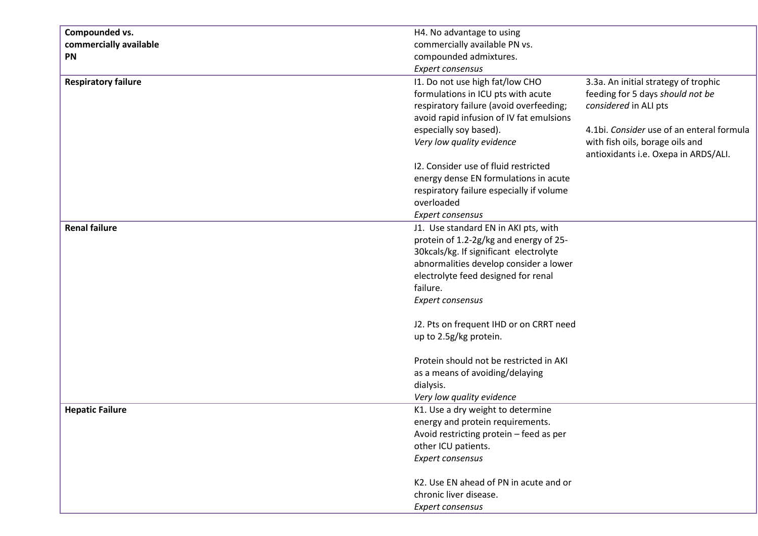| Compounded vs.             | H4. No advantage to using                |                                           |
|----------------------------|------------------------------------------|-------------------------------------------|
| commercially available     | commercially available PN vs.            |                                           |
| PN                         | compounded admixtures.                   |                                           |
|                            | Expert consensus                         |                                           |
| <b>Respiratory failure</b> | I1. Do not use high fat/low CHO          | 3.3a. An initial strategy of trophic      |
|                            | formulations in ICU pts with acute       | feeding for 5 days should not be          |
|                            | respiratory failure (avoid overfeeding;  | considered in ALI pts                     |
|                            | avoid rapid infusion of IV fat emulsions |                                           |
|                            | especially soy based).                   | 4.1bi. Consider use of an enteral formula |
|                            | Very low quality evidence                | with fish oils, borage oils and           |
|                            |                                          | antioxidants i.e. Oxepa in ARDS/ALI.      |
|                            | 12. Consider use of fluid restricted     |                                           |
|                            | energy dense EN formulations in acute    |                                           |
|                            | respiratory failure especially if volume |                                           |
|                            | overloaded                               |                                           |
|                            |                                          |                                           |
|                            | Expert consensus                         |                                           |
| <b>Renal failure</b>       | J1. Use standard EN in AKI pts, with     |                                           |
|                            | protein of 1.2-2g/kg and energy of 25-   |                                           |
|                            | 30kcals/kg. If significant electrolyte   |                                           |
|                            | abnormalities develop consider a lower   |                                           |
|                            | electrolyte feed designed for renal      |                                           |
|                            | failure.                                 |                                           |
|                            | Expert consensus                         |                                           |
|                            | J2. Pts on frequent IHD or on CRRT need  |                                           |
|                            | up to 2.5g/kg protein.                   |                                           |
|                            | Protein should not be restricted in AKI  |                                           |
|                            | as a means of avoiding/delaying          |                                           |
|                            | dialysis.                                |                                           |
|                            | Very low quality evidence                |                                           |
| <b>Hepatic Failure</b>     | K1. Use a dry weight to determine        |                                           |
|                            | energy and protein requirements.         |                                           |
|                            | Avoid restricting protein - feed as per  |                                           |
|                            | other ICU patients.                      |                                           |
|                            | Expert consensus                         |                                           |
|                            | K2. Use EN ahead of PN in acute and or   |                                           |
|                            | chronic liver disease.                   |                                           |
|                            | Expert consensus                         |                                           |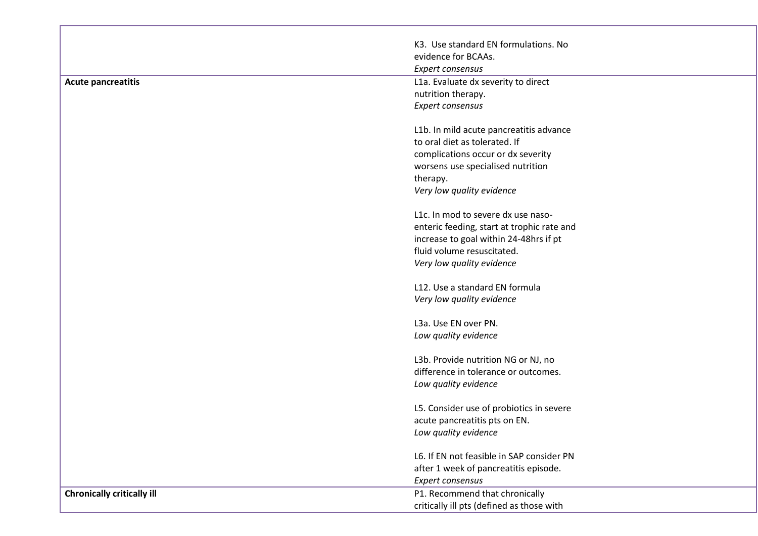|                                   | K3. Use standard EN formulations. No       |
|-----------------------------------|--------------------------------------------|
|                                   | evidence for BCAAs.                        |
|                                   | <b>Expert consensus</b>                    |
| <b>Acute pancreatitis</b>         | L1a. Evaluate dx severity to direct        |
|                                   | nutrition therapy.                         |
|                                   | Expert consensus                           |
|                                   | L1b. In mild acute pancreatitis advance    |
|                                   | to oral diet as tolerated. If              |
|                                   | complications occur or dx severity         |
|                                   | worsens use specialised nutrition          |
|                                   | therapy.                                   |
|                                   | Very low quality evidence                  |
|                                   | L1c. In mod to severe dx use naso-         |
|                                   | enteric feeding, start at trophic rate and |
|                                   | increase to goal within 24-48hrs if pt     |
|                                   | fluid volume resuscitated.                 |
|                                   | Very low quality evidence                  |
|                                   | L12. Use a standard EN formula             |
|                                   | Very low quality evidence                  |
|                                   | L3a. Use EN over PN.                       |
|                                   | Low quality evidence                       |
|                                   | L3b. Provide nutrition NG or NJ, no        |
|                                   | difference in tolerance or outcomes.       |
|                                   | Low quality evidence                       |
|                                   | L5. Consider use of probiotics in severe   |
|                                   | acute pancreatitis pts on EN.              |
|                                   | Low quality evidence                       |
|                                   | L6. If EN not feasible in SAP consider PN  |
|                                   | after 1 week of pancreatitis episode.      |
|                                   | Expert consensus                           |
| <b>Chronically critically ill</b> | P1. Recommend that chronically             |
|                                   | critically ill pts (defined as those with  |